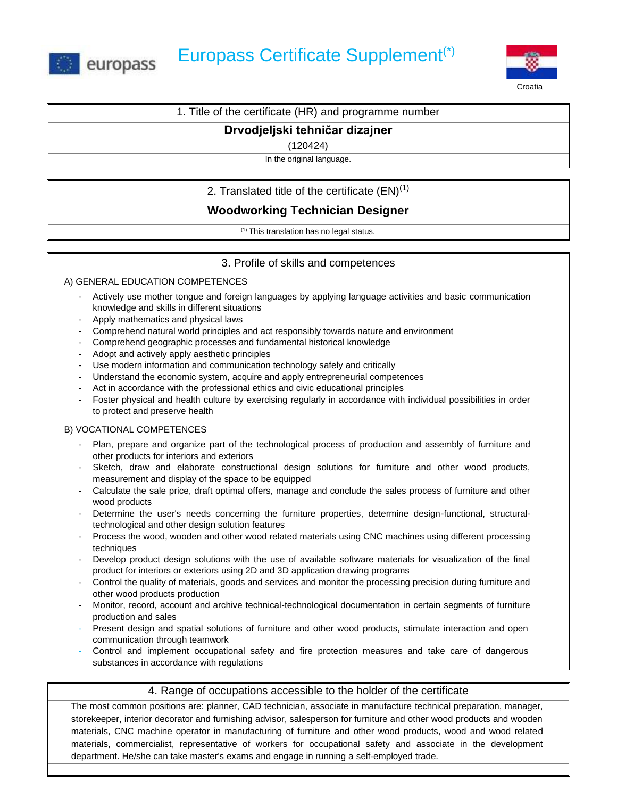



## 1. Title of the certificate (HR) and programme number

# **Drvodjeljski tehničar dizajner**

(120424)

In the original language.

## 2. Translated title of the certificate  $(EN)^{(1)}$

# **Woodworking Technician Designer**

(1) This translation has no legal status.

## 3. Profile of skills and competences

### A) GENERAL EDUCATION COMPETENCES

- Actively use mother tongue and foreign languages by applying language activities and basic communication knowledge and skills in different situations
- Apply mathematics and physical laws
- Comprehend natural world principles and act responsibly towards nature and environment
- Comprehend geographic processes and fundamental historical knowledge
- Adopt and actively apply aesthetic principles
- Use modern information and communication technology safely and critically
- Understand the economic system, acquire and apply entrepreneurial competences
- Act in accordance with the professional ethics and civic educational principles
- Foster physical and health culture by exercising regularly in accordance with individual possibilities in order to protect and preserve health

#### B) VOCATIONAL COMPETENCES

- Plan, prepare and organize part of the technological process of production and assembly of furniture and other products for interiors and exteriors
- Sketch, draw and elaborate constructional design solutions for furniture and other wood products, measurement and display of the space to be equipped
- Calculate the sale price, draft optimal offers, manage and conclude the sales process of furniture and other wood products
- Determine the user's needs concerning the furniture properties, determine design-functional, structuraltechnological and other design solution features
- Process the wood, wooden and other wood related materials using CNC machines using different processing techniques
- Develop product design solutions with the use of available software materials for visualization of the final product for interiors or exteriors using 2D and 3D application drawing programs
- Control the quality of materials, goods and services and monitor the processing precision during furniture and other wood products production
- Monitor, record, account and archive technical-technological documentation in certain segments of furniture production and sales
- Present design and spatial solutions of furniture and other wood products, stimulate interaction and open communication through teamwork
- Control and implement occupational safety and fire protection measures and take care of dangerous substances in accordance with regulations

### 4. Range of occupations accessible to the holder of the certificate

The most common positions are: planner, CAD technician, associate in manufacture technical preparation, manager, storekeeper, interior decorator and furnishing advisor, salesperson for furniture and other wood products and wooden materials, CNC machine operator in manufacturing of furniture and other wood products, wood and wood related materials, commercialist, representative of workers for occupational safety and associate in the development department. He/she can take master's exams and engage in running a self-employed trade.